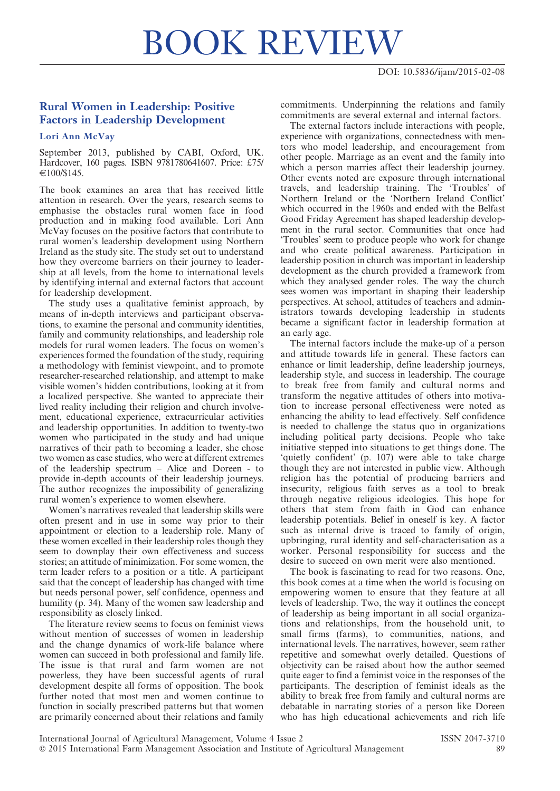## BOOK REVIEW

## Rural Women in Leadership: Positive Factors in Leadership Development

## Lori Ann McVay

September 2013, published by CABI, Oxford, UK. Hardcover, 160 pages. ISBN 9781780641607. Price: £75/  $\in 100/S145$ .

The book examines an area that has received little attention in research. Over the years, research seems to emphasise the obstacles rural women face in food production and in making food available. Lori Ann McVay focuses on the positive factors that contribute to rural women's leadership development using Northern Ireland as the study site. The study set out to understand how they overcome barriers on their journey to leadership at all levels, from the home to international levels by identifying internal and external factors that account for leadership development.

The study uses a qualitative feminist approach, by means of in-depth interviews and participant observations, to examine the personal and community identities, family and community relationships, and leadership role models for rural women leaders. The focus on women's experiences formed the foundation of the study, requiring a methodology with feminist viewpoint, and to promote researcher-researched relationship, and attempt to make visible women's hidden contributions, looking at it from a localized perspective. She wanted to appreciate their lived reality including their religion and church involvement, educational experience, extracurricular activities and leadership opportunities. In addition to twenty-two women who participated in the study and had unique narratives of their path to becoming a leader, she chose two women as case studies, who were at different extremes of the leadership spectrum – Alice and Doreen - to provide in-depth accounts of their leadership journeys. The author recognizes the impossibility of generalizing rural women's experience to women elsewhere.

Women's narratives revealed that leadership skills were often present and in use in some way prior to their appointment or election to a leadership role. Many of these women excelled in their leadership roles though they seem to downplay their own effectiveness and success stories; an attitude of minimization. For some women, the term leader refers to a position or a title. A participant said that the concept of leadership has changed with time but needs personal power, self confidence, openness and humility (p. 34). Many of the women saw leadership and responsibility as closely linked.

The literature review seems to focus on feminist views without mention of successes of women in leadership and the change dynamics of work-life balance where women can succeed in both professional and family life. The issue is that rural and farm women are not powerless, they have been successful agents of rural development despite all forms of opposition. The book further noted that most men and women continue to function in socially prescribed patterns but that women are primarily concerned about their relations and family

commitments. Underpinning the relations and family commitments are several external and internal factors.

The external factors include interactions with people, experience with organizations, connectedness with mentors who model leadership, and encouragement from other people. Marriage as an event and the family into which a person marries affect their leadership journey. Other events noted are exposure through international travels, and leadership training. The 'Troubles' of Northern Ireland or the 'Northern Ireland Conflict' which occurred in the 1960s and ended with the Belfast Good Friday Agreement has shaped leadership development in the rural sector. Communities that once had 'Troubles' seem to produce people who work for change and who create political awareness. Participation in leadership position in church was important in leadership development as the church provided a framework from which they analysed gender roles. The way the church sees women was important in shaping their leadership perspectives. At school, attitudes of teachers and administrators towards developing leadership in students became a significant factor in leadership formation at an early age.

The internal factors include the make-up of a person and attitude towards life in general. These factors can enhance or limit leadership, define leadership journeys, leadership style, and success in leadership. The courage to break free from family and cultural norms and transform the negative attitudes of others into motivation to increase personal effectiveness were noted as enhancing the ability to lead effectively. Self confidence is needed to challenge the status quo in organizations including political party decisions. People who take initiative stepped into situations to get things done. The 'quietly confident' (p. 107) were able to take charge though they are not interested in public view. Although religion has the potential of producing barriers and insecurity, religious faith serves as a tool to break through negative religious ideologies. This hope for others that stem from faith in God can enhance leadership potentials. Belief in oneself is key. A factor such as internal drive is traced to family of origin, upbringing, rural identity and self-characterisation as a worker. Personal responsibility for success and the desire to succeed on own merit were also mentioned.

The book is fascinating to read for two reasons. One, this book comes at a time when the world is focusing on empowering women to ensure that they feature at all levels of leadership. Two, the way it outlines the concept of leadership as being important in all social organizations and relationships, from the household unit, to small firms (farms), to communities, nations, and international levels. The narratives, however, seem rather repetitive and somewhat overly detailed. Questions of objectivity can be raised about how the author seemed quite eager to find a feminist voice in the responses of the participants. The description of feminist ideals as the ability to break free from family and cultural norms are debatable in narrating stories of a person like Doreen who has high educational achievements and rich life